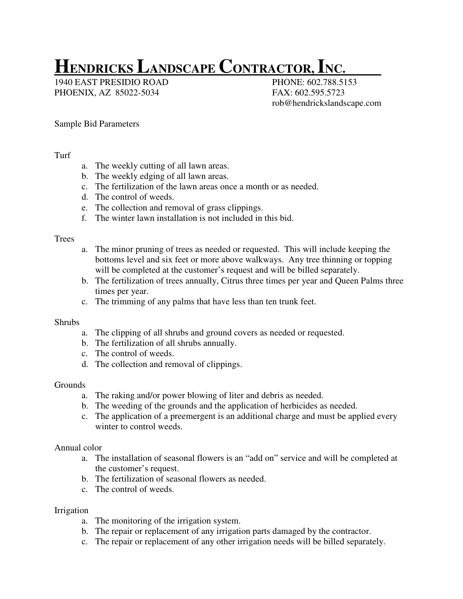# **HENDRICKS LANDSCAPE CONTRACTOR, INC.**

1940 EAST PRESIDIO ROAD PHONE: 602.788.5153 PHOENIX, AZ 85022-5034 FAX: 602.595.5723

rob@hendrickslandscape.com

## Sample Bid Parameters

### Turf

- a. The weekly cutting of all lawn areas.
- b. The weekly edging of all lawn areas.
- c. The fertilization of the lawn areas once a month or as needed.
- d. The control of weeds.
- e. The collection and removal of grass clippings.
- f. The winter lawn installation is not included in this bid.

### **Trees**

- a. The minor pruning of trees as needed or requested. This will include keeping the bottoms level and six feet or more above walkways. Any tree thinning or topping will be completed at the customer's request and will be billed separately.
- b. The fertilization of trees annually, Citrus three times per year and Queen Palms three times per year.
- c. The trimming of any palms that have less than ten trunk feet.

### Shrubs

- a. The clipping of all shrubs and ground covers as needed or requested.
- b. The fertilization of all shrubs annually.
- c. The control of weeds.
- d. The collection and removal of clippings.

### Grounds

- a. The raking and/or power blowing of liter and debris as needed.
- b. The weeding of the grounds and the application of herbicides as needed.
- c. The application of a preemergent is an additional charge and must be applied every winter to control weeds.

### Annual color

- a. The installation of seasonal flowers is an "add on" service and will be completed at the customer's request.
- b. The fertilization of seasonal flowers as needed.
- c. The control of weeds.

### Irrigation

- a. The monitoring of the irrigation system.
- b. The repair or replacement of any irrigation parts damaged by the contractor.
- c. The repair or replacement of any other irrigation needs will be billed separately.